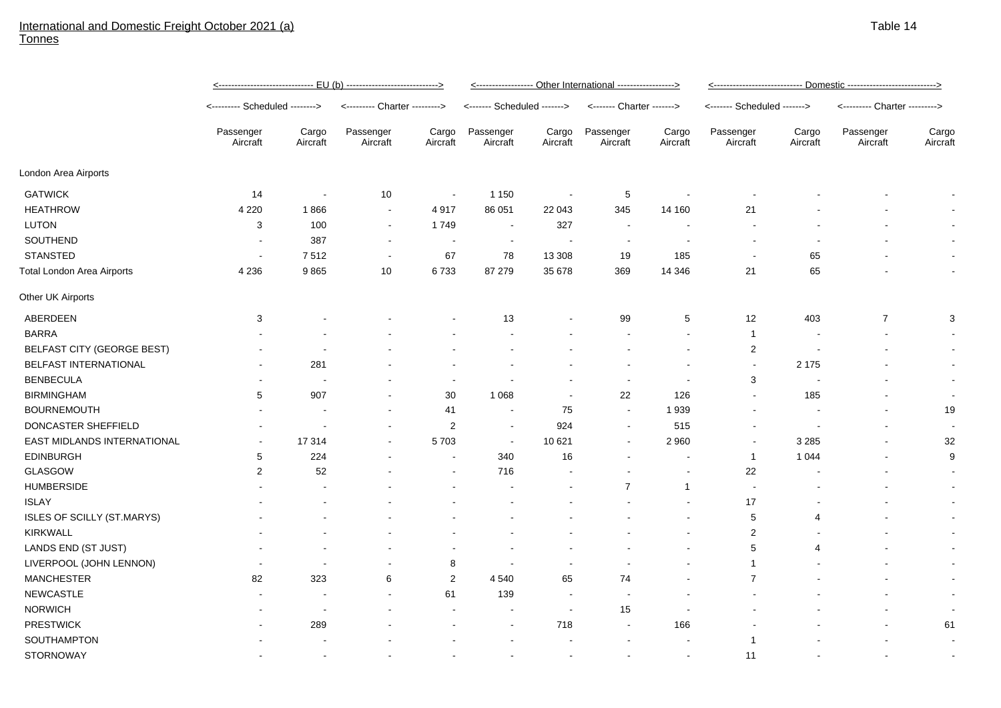## International and Domestic Freight October 2021 (a) Tonnes

|                                   | <u>&lt;----------------------------- EU (b) ---------------------------&gt;</u> |                          |                               |                          | <----------------- Other International -----------------> |                          |                           |                   | <u> &lt;--------------------------- Domestic --------------------------&gt;</u> |                          |                               |                   |
|-----------------------------------|---------------------------------------------------------------------------------|--------------------------|-------------------------------|--------------------------|-----------------------------------------------------------|--------------------------|---------------------------|-------------------|---------------------------------------------------------------------------------|--------------------------|-------------------------------|-------------------|
|                                   | <-------- Scheduled -------->                                                   |                          | <--------- Charter ---------> |                          | <------- Scheduled ------->                               |                          | <------- Charter -------> |                   | <------- Scheduled ------->                                                     |                          | <--------- Charter ---------> |                   |
|                                   | Passenger<br>Aircraft                                                           | Cargo<br>Aircraft        | Passenger<br>Aircraft         | Cargo<br>Aircraft        | Passenger<br>Aircraft                                     | Cargo<br>Aircraft        | Passenger<br>Aircraft     | Cargo<br>Aircraft | Passenger<br>Aircraft                                                           | Cargo<br>Aircraft        | Passenger<br>Aircraft         | Cargo<br>Aircraft |
| London Area Airports              |                                                                                 |                          |                               |                          |                                                           |                          |                           |                   |                                                                                 |                          |                               |                   |
| <b>GATWICK</b>                    | 14                                                                              | $\overline{\phantom{a}}$ | 10                            | $\overline{\phantom{a}}$ | 1 1 5 0                                                   |                          | $\sqrt{5}$                |                   |                                                                                 |                          |                               |                   |
| <b>HEATHROW</b>                   | 4 2 2 0                                                                         | 1866                     | $\sim$                        | 4917                     | 86 051                                                    | 22 043                   | 345                       | 14 160            | 21                                                                              |                          |                               |                   |
| <b>LUTON</b>                      | 3                                                                               | 100                      | $\blacksquare$                | 1749                     | $\sim$                                                    | 327                      | $\sim$                    |                   | $\overline{\phantom{a}}$                                                        |                          |                               |                   |
| SOUTHEND                          |                                                                                 | 387                      | $\blacksquare$                | $\blacksquare$           | $\sim$                                                    |                          | $\overline{\phantom{a}}$  |                   |                                                                                 |                          |                               |                   |
| <b>STANSTED</b>                   | $\overline{\phantom{a}}$                                                        | 7512                     | $\blacksquare$                | 67                       | 78                                                        | 13 308                   | 19                        | 185               |                                                                                 | 65                       |                               |                   |
| <b>Total London Area Airports</b> | 4 2 3 6                                                                         | 9865                     | 10                            | 6733                     | 87 279                                                    | 35 678                   | 369                       | 14 346            | 21                                                                              | 65                       |                               | $\blacksquare$    |
| Other UK Airports                 |                                                                                 |                          |                               |                          |                                                           |                          |                           |                   |                                                                                 |                          |                               |                   |
| ABERDEEN                          | 3                                                                               |                          |                               |                          | 13                                                        |                          | 99                        | $\sqrt{5}$        | 12                                                                              | 403                      | $\boldsymbol{7}$              | 3                 |
| <b>BARRA</b>                      |                                                                                 |                          |                               |                          |                                                           |                          |                           |                   | $\overline{1}$                                                                  |                          |                               |                   |
| BELFAST CITY (GEORGE BEST)        |                                                                                 |                          |                               |                          |                                                           |                          |                           |                   | $\overline{\mathbf{c}}$                                                         | $\overline{\phantom{a}}$ |                               |                   |
| <b>BELFAST INTERNATIONAL</b>      |                                                                                 | 281                      |                               |                          |                                                           |                          |                           |                   | $\blacksquare$                                                                  | 2 1 7 5                  |                               | $\blacksquare$    |
| <b>BENBECULA</b>                  |                                                                                 |                          |                               |                          |                                                           |                          | $\blacksquare$            |                   | 3                                                                               | $\overline{\phantom{a}}$ |                               | $\blacksquare$    |
| <b>BIRMINGHAM</b>                 | 5                                                                               | 907                      |                               | 30                       | 1 0 6 8                                                   | $\overline{\phantom{a}}$ | 22                        | 126               | $\sim$                                                                          | 185                      |                               | $\sim$            |
| <b>BOURNEMOUTH</b>                |                                                                                 |                          |                               | 41                       | $\overline{\phantom{a}}$                                  | 75                       | $\sim$                    | 1939              |                                                                                 |                          |                               | 19                |
| DONCASTER SHEFFIELD               |                                                                                 |                          |                               | $\overline{c}$           | $\sim$                                                    | 924                      | $\sim$                    | 515               |                                                                                 |                          |                               |                   |
| EAST MIDLANDS INTERNATIONAL       |                                                                                 | 17314                    |                               | 5703                     | $\sim$                                                    | 10 621                   | $\blacksquare$            | 2 9 6 0           |                                                                                 | 3 2 8 5                  |                               | 32                |
| <b>EDINBURGH</b>                  | 5                                                                               | 224                      |                               | $\overline{\phantom{a}}$ | 340                                                       | 16                       |                           |                   | $\overline{1}$                                                                  | 1 0 4 4                  |                               | 9                 |
| GLASGOW                           | 2                                                                               | 52                       |                               |                          | 716                                                       |                          |                           |                   | 22                                                                              |                          |                               |                   |
| <b>HUMBERSIDE</b>                 |                                                                                 |                          |                               |                          |                                                           |                          | $\overline{7}$            | $\overline{1}$    | $\sim$                                                                          |                          |                               |                   |
| <b>ISLAY</b>                      |                                                                                 |                          |                               |                          |                                                           |                          |                           |                   | 17                                                                              |                          |                               |                   |
| ISLES OF SCILLY (ST.MARYS)        |                                                                                 |                          |                               |                          |                                                           |                          |                           |                   | 5                                                                               | $\overline{4}$           |                               |                   |
| <b>KIRKWALL</b>                   |                                                                                 |                          |                               |                          |                                                           |                          |                           |                   | 2                                                                               |                          |                               |                   |
| LANDS END (ST JUST)               |                                                                                 |                          |                               |                          |                                                           |                          |                           |                   | 5                                                                               | 4                        |                               | $\sim$            |
| LIVERPOOL (JOHN LENNON)           |                                                                                 |                          |                               | 8                        |                                                           |                          |                           |                   | 1                                                                               |                          |                               |                   |
| <b>MANCHESTER</b>                 | 82                                                                              | 323                      | 6                             | $\overline{c}$           | 4 5 4 0                                                   | 65                       | 74                        |                   | $\overline{7}$                                                                  |                          |                               | $\sim$            |
| <b>NEWCASTLE</b>                  |                                                                                 |                          |                               | 61                       | 139                                                       |                          | $\overline{\phantom{a}}$  |                   |                                                                                 |                          |                               | $\blacksquare$    |
| <b>NORWICH</b>                    |                                                                                 |                          |                               |                          |                                                           |                          | 15                        |                   |                                                                                 |                          |                               |                   |
| <b>PRESTWICK</b>                  |                                                                                 | 289                      |                               |                          |                                                           | 718                      | $\blacksquare$            | 166               |                                                                                 |                          |                               | 61                |
| <b>SOUTHAMPTON</b>                |                                                                                 |                          |                               |                          |                                                           |                          |                           |                   | 1                                                                               |                          |                               |                   |
| <b>STORNOWAY</b>                  |                                                                                 |                          |                               |                          |                                                           |                          |                           |                   | 11                                                                              |                          |                               |                   |